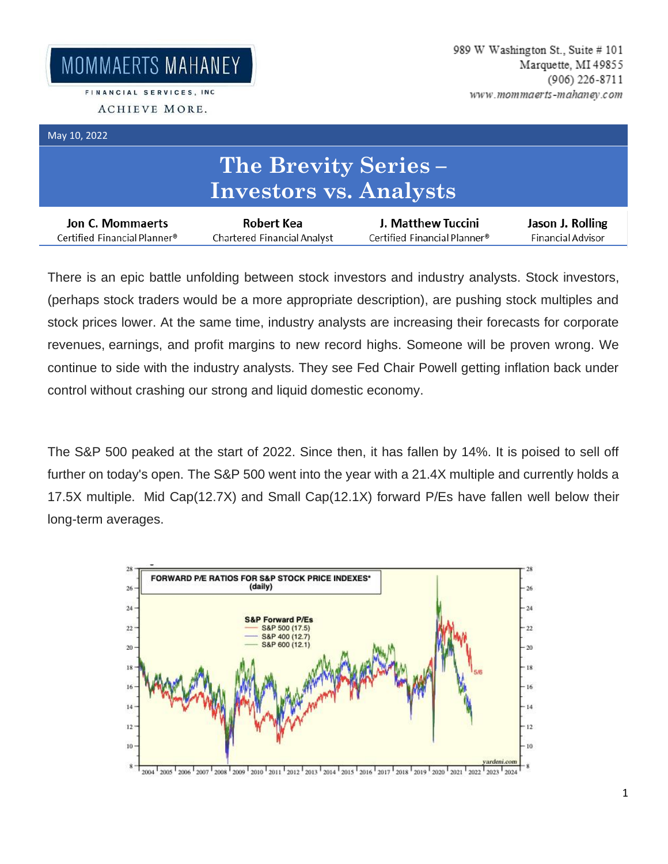FINANCIAL SERVICES, INC. ACHIEVE MORE.

## May 10, 2022

## **The Brevity Series – Investors vs. Analysts**

| Jon C. Mommaerts             | Robert Kea                  | J. Matthew Tuccini           | Jason J. Rolling  |
|------------------------------|-----------------------------|------------------------------|-------------------|
| Certified Financial Planner® | Chartered Financial Analyst | Certified Financial Planner® | Financial Advisor |

There is an epic battle unfolding between stock investors and industry analysts. Stock investors, (perhaps stock traders would be a more appropriate description), are pushing stock multiples and stock prices lower. At the same time, industry analysts are increasing their forecasts for corporate revenues, earnings, and profit margins to new record highs. Someone will be proven wrong. We continue to side with the industry analysts. They see Fed Chair Powell getting inflation back under control without crashing our strong and liquid domestic economy.

The S&P 500 peaked at the start of 2022. Since then, it has fallen by 14%. It is poised to sell off further on today's open. The S&P 500 went into the year with a 21.4X multiple and currently holds a 17.5X multiple. Mid Cap(12.7X) and Small Cap(12.1X) forward P/Es have fallen well below their long-term averages.

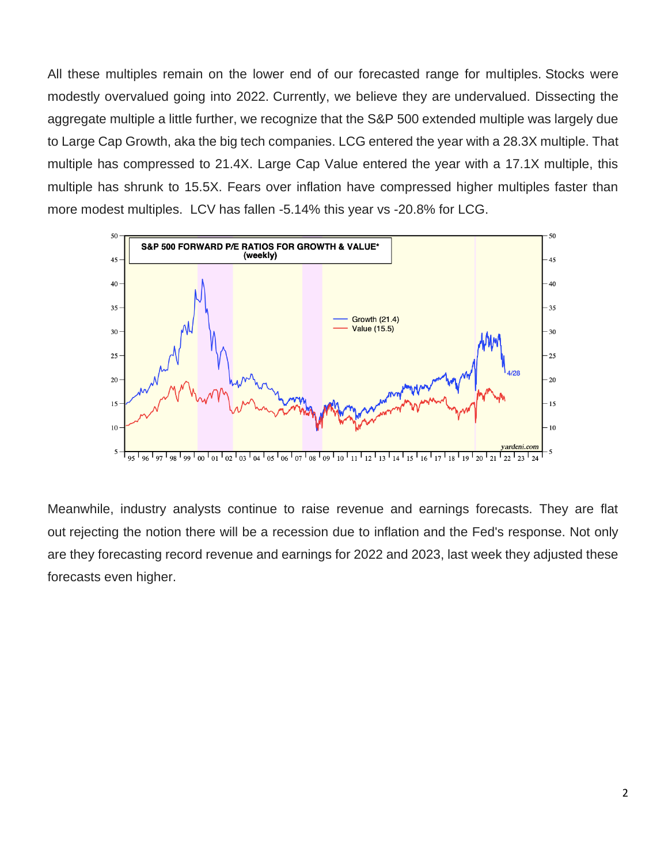All these multiples remain on the lower end of our forecasted range for multiples. Stocks were modestly overvalued going into 2022. Currently, we believe they are undervalued. Dissecting the aggregate multiple a little further, we recognize that the S&P 500 extended multiple was largely due to Large Cap Growth, aka the big tech companies. LCG entered the year with a 28.3X multiple. That multiple has compressed to 21.4X. Large Cap Value entered the year with a 17.1X multiple, this multiple has shrunk to 15.5X. Fears over inflation have compressed higher multiples faster than more modest multiples. LCV has fallen -5.14% this year vs -20.8% for LCG.



Meanwhile, industry analysts continue to raise revenue and earnings forecasts. They are flat out rejecting the notion there will be a recession due to inflation and the Fed's response. Not only are they forecasting record revenue and earnings for 2022 and 2023, last week they adjusted these forecasts even higher.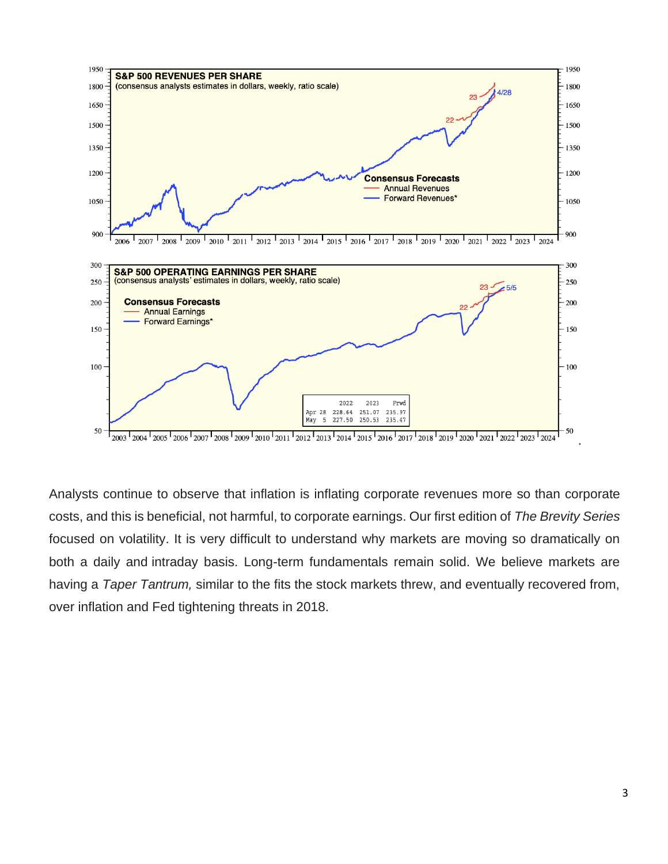

Analysts continue to observe that inflation is inflating corporate revenues more so than corporate costs, and this is beneficial, not harmful, to corporate earnings. Our first edition of *The Brevity Series*  focused on volatility. It is very difficult to understand why markets are moving so dramatically on both a daily and intraday basis. Long-term fundamentals remain solid. We believe markets are having a *Taper Tantrum,* similar to the fits the stock markets threw, and eventually recovered from, over inflation and Fed tightening threats in 2018.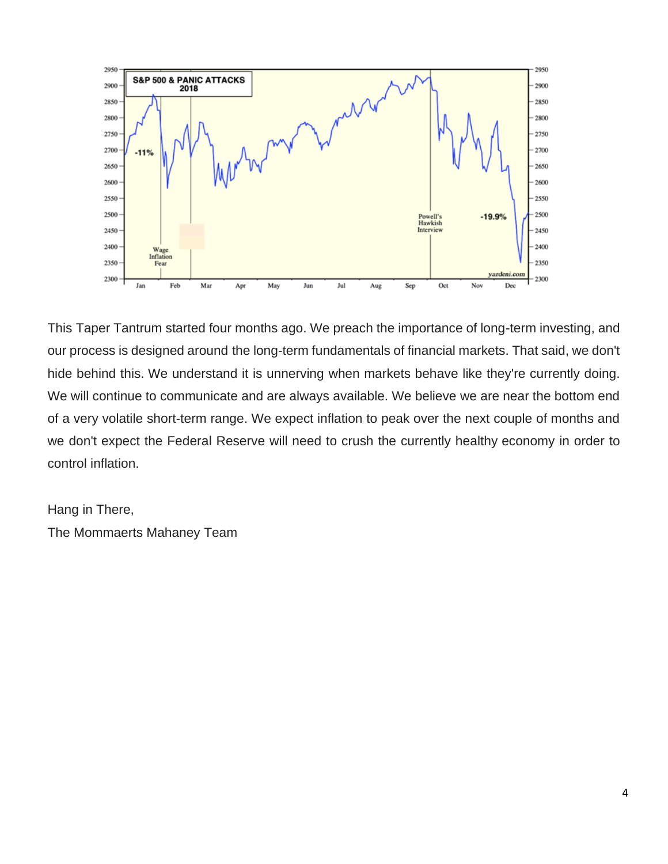

This Taper Tantrum started four months ago. We preach the importance of long-term investing, and our process is designed around the long-term fundamentals of financial markets. That said, we don't hide behind this. We understand it is unnerving when markets behave like they're currently doing. We will continue to communicate and are always available. We believe we are near the bottom end of a very volatile short-term range. We expect inflation to peak over the next couple of months and we don't expect the Federal Reserve will need to crush the currently healthy economy in order to control inflation.

Hang in There, The Mommaerts Mahaney Team